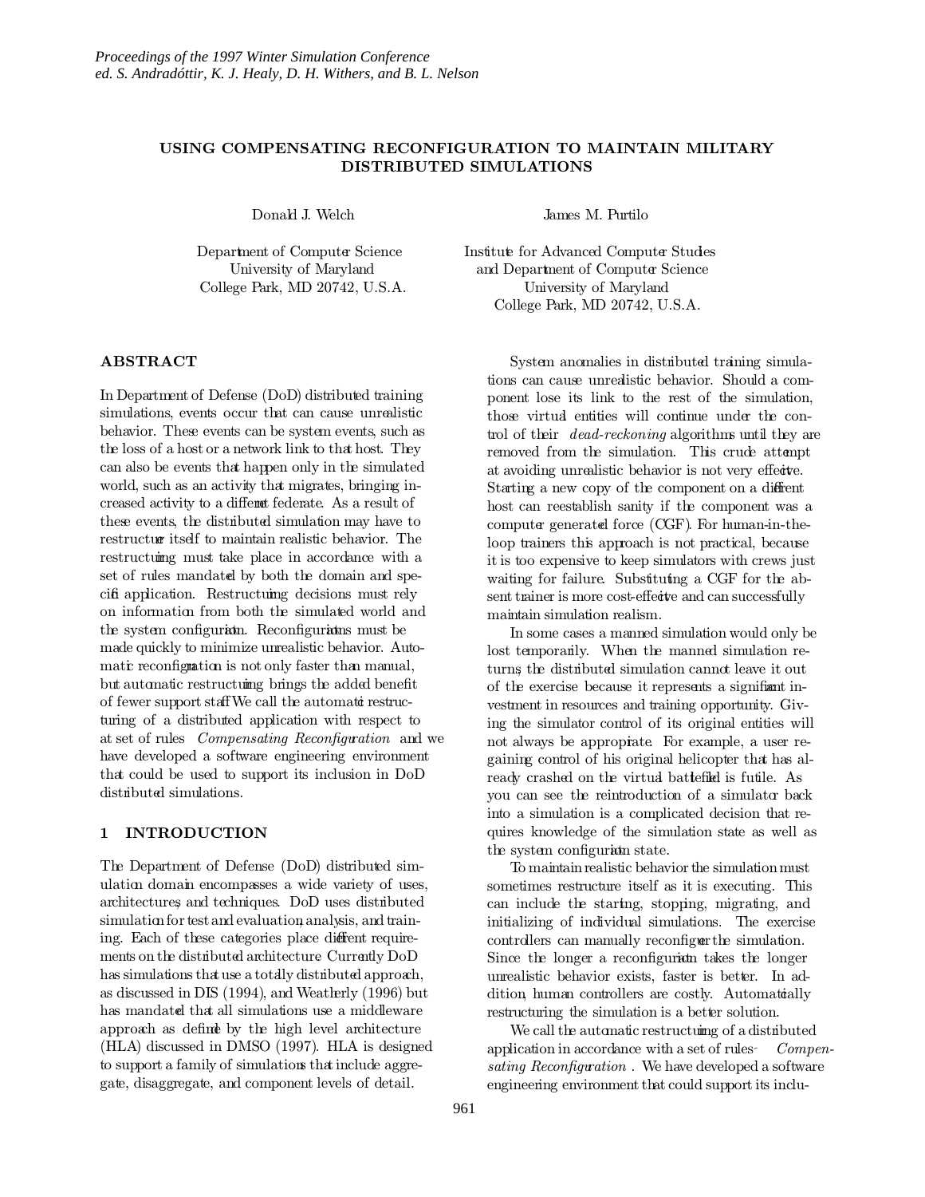# USING COMPENSATING RECONFIGURATION TO MAINTAIN MILITARY DISTRIBUTED SIMULATIONS

Donald J. Welch

Department of Computer Science University of Maryland College Park, MD 20742, U.S.A.

# ABSTRACT

In Department of Defense (DoD) distributed training simulations, events occur that can cause unrealistic behavior. These events can be system events, such as the loss of a host or a network link to that host. They can also be events that happen only in the simulated world, such as an activity that migrates, bringing increased activity to a different federate. As a result of these events, the distributed simulation may have to restructure itself to maintain realistic behavior. The restructum gmust take place in accordance with a set of rules mandated by both the domain and specifi application. Restructuring decisions must rely on information from both the simulated world and the system configuration. Reconfigurations must be made quickly to minimize unrealistic behavior. Automatic reconfiguration is not only faster than manual, but automatic restructuring brings the added benefit of fewer support staff We call the automatic restructuring of a distributed application with respect to at set of rules Compensating Reconfiguration and we have developed a software engineering environment that could be used to support its inclusion in DoD distributed simulations.

## 1 INTRODUCTION

The Department of Defense (DoD) distributed simulation domain encompasses a wide variety of uses, architectures, and techniques. DoD uses distributed simulation for test and evaluation analysis, and training. Each of these categories place different requirements on the distributed architecture. Currently DoD has simulations that use a totally distributed approach, as discussed in DIS (1994), and Weatherly (1996) but has mandated that all simulations use a middleware approach as defined by the high level architecture (HLA) discussed in DMSO (1997). HLA is designed to support a family of simulations thatinclude aggregate, disaggregate, and component levels of detail.

James M. Purtilo

Institute for Advanced Computer Studies and Department of Computer Science University of Maryland College Park, MD 20742, U.S.A.

System anomalies in distributed training simulations can cause unrealistic behavior. Should a component lose its link to the rest of the simulation, those virtual entities will continue under the control of their dead-reckoning algorithms until they are removed from the simulation. This crude attempt at avoiding unrealistic behavior is not very effective. Starting a new copy of the component on a diffrent host can reestablish sanity if the component was a computer generated force (CGF). For human-in-theloop trainers this approach is not practical, because it is too expensive to keep simulators with crews just waiting for failure. Substituting a CGF for the absent trainer is more cost-effective and can successfully maintain simulation realism.

In some cases a manned simulation would only be lost temporarily. When the manned simulation returns, the distributed simulation cannot leave it out of the exercise because it represents a significant investment in resources and training opportunity. Giving the simulator control of its original entities will not always be appropriate. For example, a user regaining control of his original helicopter that has already crashed on the virtual battlefied is futile. As you can see the reintroduction of a simulator back into a simulation is a complicated decision that requires knowledge of the simulation state as well as the system configuration state.

To maintain realistic behavior the simulation must sometimes restructure itself as it is executing. This can include the starting, stopping, migrating, and initializing of individual simulations. The exercise controllers can manually reconfigurative simulation. Since the longer a reconfiguration takes the longer unrealistic behavior exists, faster is better. In addition, human controllers are costly. Automatically restructuring the simulation is a better solution.

We call the automatic restructum gof a distributed application in accordance with a set of rules  $Compen$ sating Reconfiguration. We have developed a software engineering environment that could support its inclu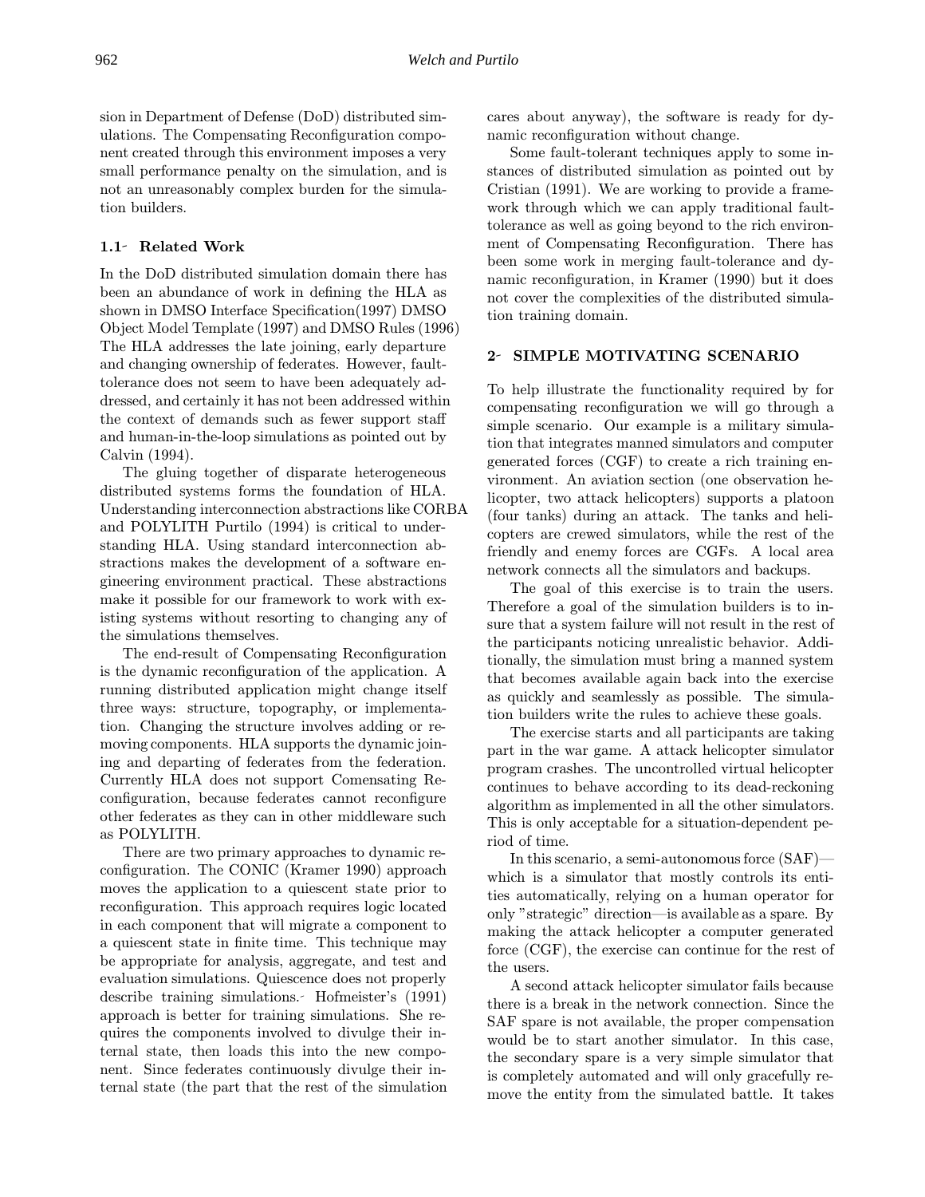sion in Department of Defense (DoD) distributed simulations. The Compensating Reconfiguration component created through this environment imposes a very small performance penalty on the simulation, and is not an unreasonably complex burden for the simulation builders.

# 1.1- Related Work

In the DoD distributed simulation domain there has been an abundance of work in defining the HLA as shown in DMSO Interface Specification(1997) DMSO Object Model Template (1997) and DMSO Rules (1996) The HLA addresses the late joining, early departure and changing ownership of federates. However, faulttolerance does not seem to have been adequately addressed, and certainly it has not been addressed within the context of demands such as fewer support staff and human-in-the-loop simulations as pointed out by Calvin (1994).

The gluing together of disparate heterogeneous distributed systems forms the foundation of HLA. Understanding interconnection abstractions like CORBA and POLYLITH Purtilo (1994) is critical to understanding HLA. Using standard interconnection abstractions makes the development of a software engineering environment practical. These abstractions make it possible for our framework to work with existing systems without resorting to changing any of the simulations themselves.

The end-result of Compensating Reconfiguration is the dynamic reconfiguration of the application. A running distributed application might change itself three ways: structure, topography, or implementation. Changing the structure involves adding or removing components. HLA supports the dynamic joining and departing of federates from the federation. Currently HLA does not support Comensating Reconfiguration, because federates cannot reconfigure other federates as they can in other middleware such as POLYLITH.

There are two primary approaches to dynamic reconfiguration. The CONIC (Kramer 1990) approach moves the application to a quiescent state prior to reconfiguration. This approach requires logic located in each component that will migrate a component to a quiescent state in finite time. This technique may be appropriate for analysis, aggregate, and test and evaluation simulations. Quiescence does not properly describe training simulations. Hofmeister's (1991) approach is better for training simulations. She requires the components involved to divulge their internal state, then loads this into the new component. Since federates continuously divulge their internal state (the part that the rest of the simulation cares about anyway), the software is ready for dynamic reconfiguration without change.

Some fault-tolerant techniques apply to some instances of distributed simulation as pointed out by Cristian (1991). We are working to provide a framework through which we can apply traditional faulttolerance as well as going beyond to the rich environment of Compensating Reconfiguration. There has been some work in merging fault-tolerance and dynamic reconfiguration, in Kramer (1990) but it does not cover the complexities of the distributed simulation training domain.

## 2 SIMPLE MOTIVATING SCENARIO

To help illustrate the functionality required by for compensating reconfiguration we will go through a simple scenario. Our example is a military simulation that integrates manned simulators and computer generated forces (CGF) to create a rich training environment. An aviation section (one observation helicopter, two attack helicopters) supports a platoon (four tanks) during an attack. The tanks and helicopters are crewed simulators, while the rest of the friendly and enemy forces are CGFs. A local area network connects all the simulators and backups.

The goal of this exercise is to train the users. Therefore a goal of the simulation builders is to insure that a system failure will not result in the rest of the participants noticing unrealistic behavior. Additionally, the simulation must bring a manned system that becomes available again back into the exercise as quickly and seamlessly as possible. The simulation builders write the rules to achieve these goals.

The exercise starts and all participants are taking part in the war game. A attack helicopter simulator program crashes. The uncontrolled virtual helicopter continues to behave according to its dead-reckoning algorithm as implemented in all the other simulators. This is only acceptable for a situation-dependent period of time.

In this scenario, a semi-autonomousforce (SAF) which is a simulator that mostly controls its entities automatically, relying on a human operator for only "strategic" direction—is available as a spare. By making the attack helicopter a computer generated force (CGF), the exercise can continue for the rest of the users.

A second attack helicopter simulator fails because there is a break in the network connection. Since the SAF spare is not available, the proper compensation would be to start another simulator. In this case, the secondary spare is a very simple simulator that is completely automated and will only gracefully remove the entity from the simulated battle. It takes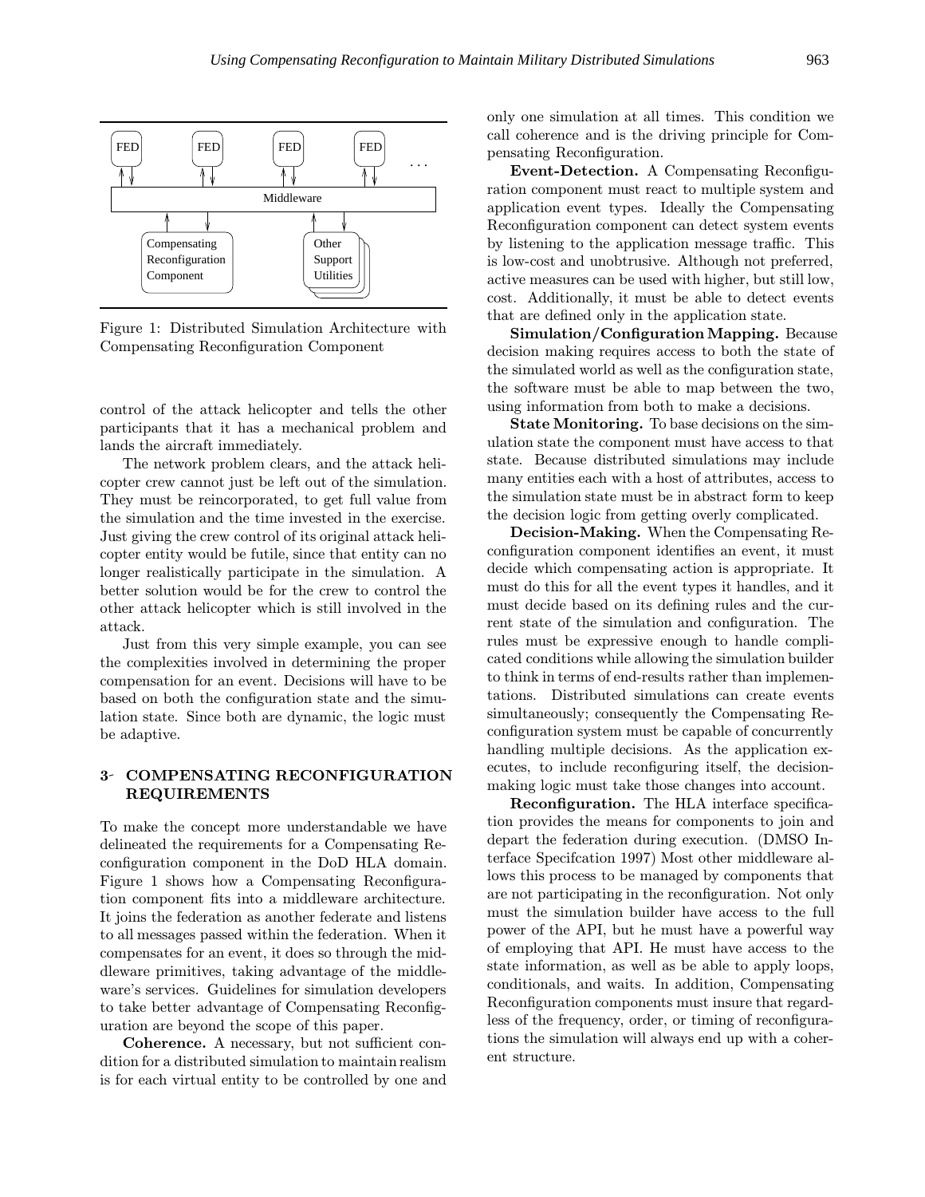

Figure 1: Distributed Simulation Architecture with Compensating Reconfiguration Component

control of the attack helicopter and tells the other participants that it has a mechanical problem and lands the aircraft immediately.

The network problem clears, and the attack helicopter crew cannot just be left out of the simulation. They must be reincorporated, to get full value from the simulation and the time invested in the exercise. Just giving the crew control of its original attack helicopter entity would be futile, since that entity can no longer realistically participate in the simulation. A better solution would be for the crew to control the other attack helicopter which is still involved in the attack.

Just from this very simple example, you can see the complexities involved in determining the proper compensation for an event. Decisions will have to be based on both the configuration state and the simulation state. Since both are dynamic, the logic must be adaptive.

## 3- COMPENSATING RECONFIGURATION REQUIREMENTS

To make the concept more understandable we have delineated the requirements for a Compensating Reconfiguration component in the DoD HLA domain. Figure 1 shows how a Compensating Reconfiguration component fits into a middleware architecture. It joins the federation as another federate and listens to all messages passed within the federation. When it compensates for an event, it does so through the middleware primitives, taking advantage of the middleware's services. Guidelines for simulation developers to take better advantage of Compensating Reconfiguration are beyond the scope of this paper.

Coherence. A necessary, but not sufficient condition for a distributed simulation to maintain realism is for each virtual entity to be controlled by one and only one simulation at all times. This condition we call coherence and is the driving principle for Compensating Reconfiguration.

Event-Detection. A Compensating Reconfiguration component must react to multiple system and application event types. Ideally the Compensating Reconfiguration component can detect system events by listening to the application message traffic. This is low-cost and unobtrusive. Although not preferred, active measures can be used with higher, but still low, cost. Additionally, it must be able to detect events that are defined only in the application state.

Simulation/Configuration Mapping. Because decision making requires access to both the state of the simulated world as well as the configuration state, the software must be able to map between the two, using information from both to make a decisions.

State Monitoring. To base decisions on the simulation state the component must have access to that state. Because distributed simulations may include many entities each with a host of attributes, access to the simulation state must be in abstract form to keep the decision logic from getting overly complicated.

Decision-Making. When the Compensating Reconfiguration component identifies an event, it must decide which compensating action is appropriate. It must do this for all the event types it handles, and it must decide based on its defining rules and the current state of the simulation and configuration. The rules must be expressive enough to handle complicated conditions while allowing the simulation builder to think in terms of end-results rather than implementations. Distributed simulations can create events simultaneously; consequently the Compensating Reconfiguration system must be capable of concurrently handling multiple decisions. As the application executes, to include reconfiguring itself, the decisionmaking logic must take those changes into account.

Reconfiguration. The HLA interface specification provides the means for components to join and depart the federation during execution. (DMSO Interface Specifcation 1997) Most other middleware allows this process to be managed by components that are not participating in the reconfiguration. Not only must the simulation builder have access to the full power of the API, but he must have a powerful way of employing that API. He must have access to the state information, as well as be able to apply loops, conditionals, and waits. In addition, Compensating Reconfiguration components must insure that regardless of the frequency, order, or timing of reconfigurations the simulation will always end up with a coherent structure.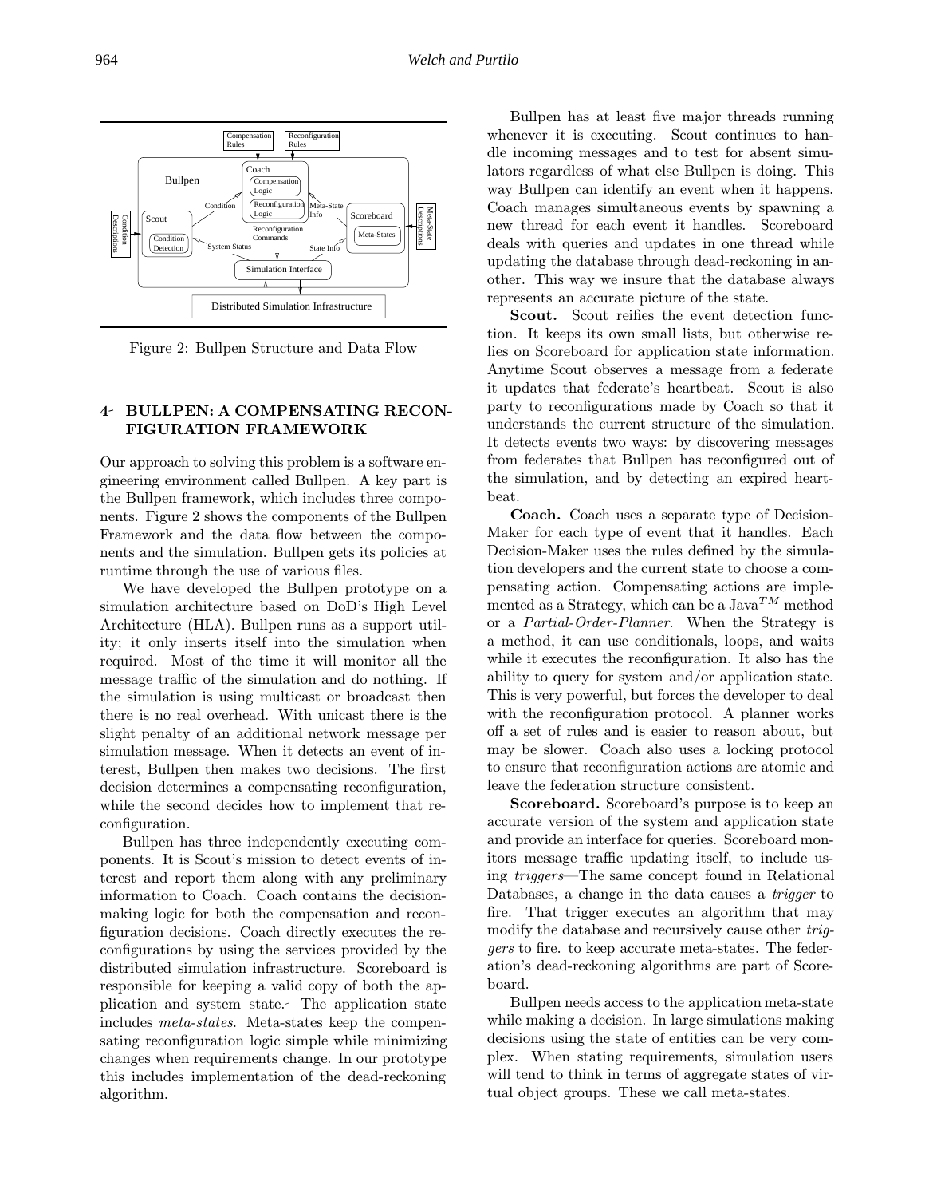

Figure 2: Bullpen Structure and Data Flow

# 4 BULLPEN: A COMPENSATING RECON-FIGURATION FRAMEWORK

Our approach to solving this problem is a software engineering environment called Bullpen. A key part is the Bullpen framework, which includes three components. Figure 2 shows the components of the Bullpen Framework and the data flow between the components and the simulation. Bullpen gets its policies at runtime through the use of various files.

We have developed the Bullpen prototype on a simulation architecture based on DoD's High Level Architecture (HLA). Bullpen runs as a support utility; it only inserts itself into the simulation when required. Most of the time it will monitor all the message traffic of the simulation and do nothing. If the simulation is using multicast or broadcast then there is no real overhead. With unicast there is the slight penalty of an additional network message per simulation message. When it detects an event of interest, Bullpen then makes two decisions. The first decision determines a compensating reconfiguration, while the second decides how to implement that reconfiguration.

Bullpen has three independently executing components. It is Scout's mission to detect events of interest and report them along with any preliminary information to Coach. Coach contains the decisionmaking logic for both the compensation and reconfiguration decisions. Coach directly executes the reconfigurations by using the services provided by the distributed simulation infrastructure. Scoreboard is responsible for keeping a valid copy of both the application and system state. The application state includes meta-states. Meta-states keep the compensating reconfiguration logic simple while minimizing changes when requirements change. In our prototype this includes implementation of the dead-reckoning algorithm.

Bullpen has at least five major threads running whenever it is executing. Scout continues to handle incoming messages and to test for absent simulators regardless of what else Bullpen is doing. This way Bullpen can identify an event when it happens. Coach manages simultaneous events by spawning a new thread for each event it handles. Scoreboard deals with queries and updates in one thread while updating the database through dead-reckoning in another. This way we insure that the database always represents an accurate picture of the state.

Scout. Scout reifies the event detection function. It keeps its own small lists, but otherwise relies on Scoreboard for application state information. Anytime Scout observes a message from a federate it updates that federate's heartbeat. Scout is also party to reconfigurations made by Coach so that it understands the current structure of the simulation. It detects events two ways: by discovering messages from federates that Bullpen has reconfigured out of the simulation, and by detecting an expired heartbeat.

Coach. Coach uses a separate type of Decision-Maker for each type of event that it handles. Each Decision-Maker uses the rules defined by the simulation developers and the current state to choose a compensating action. Compensating actions are implemented as a Strategy, which can be a  $Jawa^{TM}$  method or a Partial-Order-Planner. When the Strategy is a method, it can use conditionals, loops, and waits while it executes the reconfiguration. It also has the ability to query for system and/or application state. This is very powerful, but forces the developer to deal with the reconfiguration protocol. A planner works off a set of rules and is easier to reason about, but may be slower. Coach also uses a locking protocol to ensure that reconfiguration actions are atomic and leave the federation structure consistent.

Scoreboard. Scoreboard's purpose is to keep an accurate version of the system and application state and provide an interface for queries. Scoreboard monitors message traffic updating itself, to include using triggers—The same concept found in Relational Databases, a change in the data causes a *trigger* to fire. That trigger executes an algorithm that may modify the database and recursively cause other triggers to fire. to keep accurate meta-states. The federation's dead-reckoning algorithms are part of Scoreboard.

Bullpen needs access to the application meta-state while making a decision. In large simulations making decisions using the state of entities can be very complex. When stating requirements, simulation users will tend to think in terms of aggregate states of virtual object groups. These we call meta-states.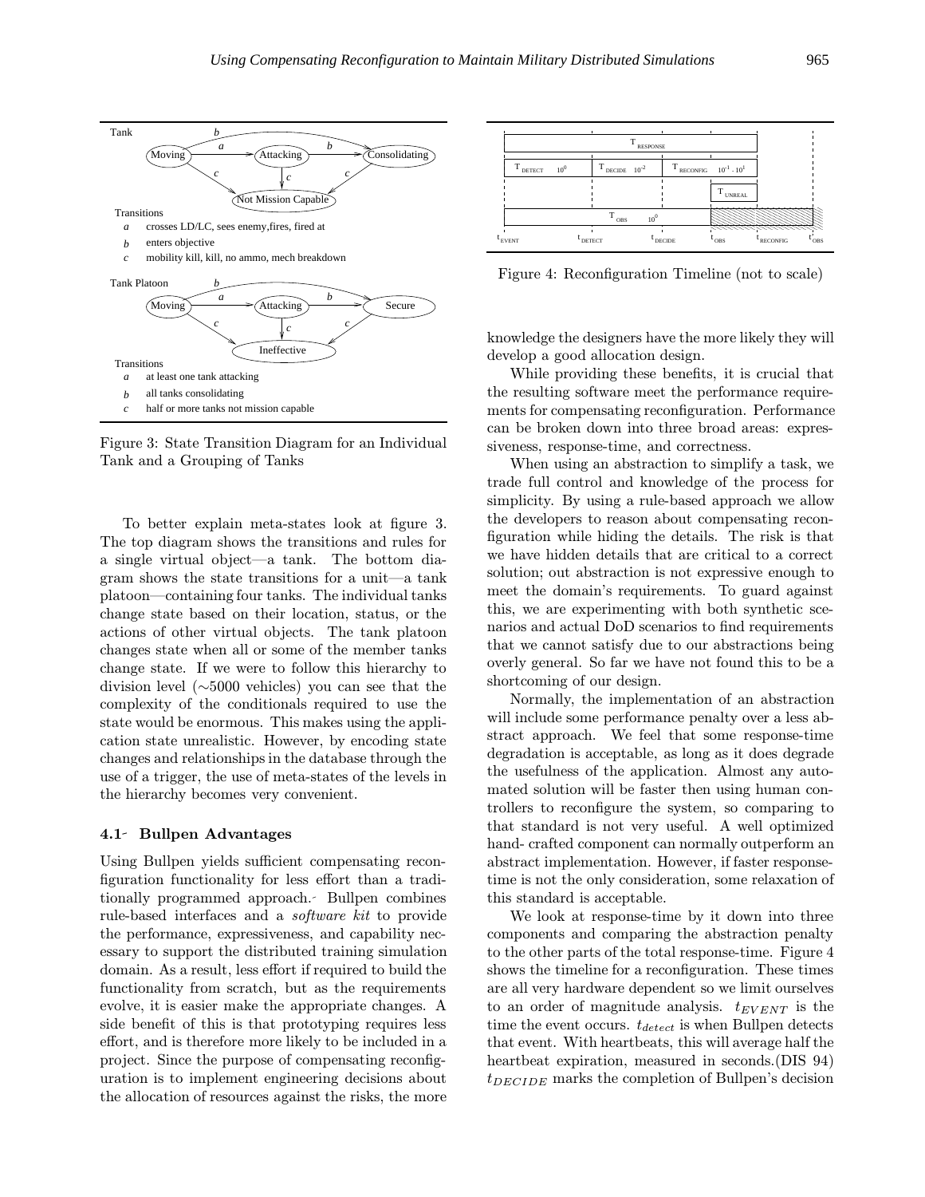

Figure 3: State Transition Diagram for an Individual Tank and a Grouping of Tanks

To better explain meta-states look at figure 3. The top diagram shows the transitions and rules for a single virtual object—a tank. The bottom diagram shows the state transitions for a unit—a tank platoon—containing four tanks. The individual tanks change state based on their location, status, or the actions of other virtual objects. The tank platoon changes state when all or some of the member tanks change state. If we were to follow this hierarchy to division level (∼5000 vehicles) you can see that the complexity of the conditionals required to use the state would be enormous. This makes using the application state unrealistic. However, by encoding state changes and relationships in the database through the use of a trigger, the use of meta-states of the levels in the hierarchy becomes very convenient.

#### 4.1 Bullpen Advantages

Using Bullpen yields sufficient compensating reconfiguration functionality for less effort than a traditionally programmed approach. Bullpen combines rule-based interfaces and a software kit to provide the performance, expressiveness, and capability necessary to support the distributed training simulation domain. As a result, less effort if required to build the functionality from scratch, but as the requirements evolve, it is easier make the appropriate changes. A side benefit of this is that prototyping requires less effort, and is therefore more likely to be included in a project. Since the purpose of compensating reconfiguration is to implement engineering decisions about the allocation of resources against the risks, the more

| <b>RESPONSE</b>         |               |           |                                     |               |                 |            |
|-------------------------|---------------|-----------|-------------------------------------|---------------|-----------------|------------|
| $10^0$<br><b>DETECT</b> | <b>DECIDE</b> | $10^{-2}$ | $1$ RECONFIG $10^{-1} \cdot 10^{1}$ |               |                 |            |
|                         |               |           |                                     | <b>UNREAL</b> |                 |            |
|                         | OBS           |           |                                     |               |                 |            |
| <b>EVENT</b>            | <b>DETECT</b> |           | <b>DECIDE</b>                       | <b>OBS</b>    | <b>RECONFIG</b> | <b>OBS</b> |

Figure 4: Reconfiguration Timeline (not to scale)

knowledge the designers have the more likely they will develop a good allocation design.

While providing these benefits, it is crucial that the resulting software meet the performance requirements for compensating reconfiguration. Performance can be broken down into three broad areas: expressiveness, response-time, and correctness.

When using an abstraction to simplify a task, we trade full control and knowledge of the process for simplicity. By using a rule-based approach we allow the developers to reason about compensating reconfiguration while hiding the details. The risk is that we have hidden details that are critical to a correct solution; out abstraction is not expressive enough to meet the domain's requirements. To guard against this, we are experimenting with both synthetic scenarios and actual DoD scenarios to find requirements that we cannot satisfy due to our abstractions being overly general. So far we have not found this to be a shortcoming of our design.

Normally, the implementation of an abstraction will include some performance penalty over a less abstract approach. We feel that some response-time degradation is acceptable, as long as it does degrade the usefulness of the application. Almost any automated solution will be faster then using human controllers to reconfigure the system, so comparing to that standard is not very useful. A well optimized hand- crafted component can normally outperform an abstract implementation. However, if faster responsetime is not the only consideration, some relaxation of this standard is acceptable.

We look at response-time by it down into three components and comparing the abstraction penalty to the other parts of the total response-time. Figure 4 shows the timeline for a reconfiguration. These times are all very hardware dependent so we limit ourselves to an order of magnitude analysis.  $t_{EVENT}$  is the time the event occurs.  $t_{detect}$  is when Bullpen detects that event. With heartbeats, this will average half the heartbeat expiration, measured in seconds.(DIS 94)  $t_{DECIDE}$  marks the completion of Bullpen's decision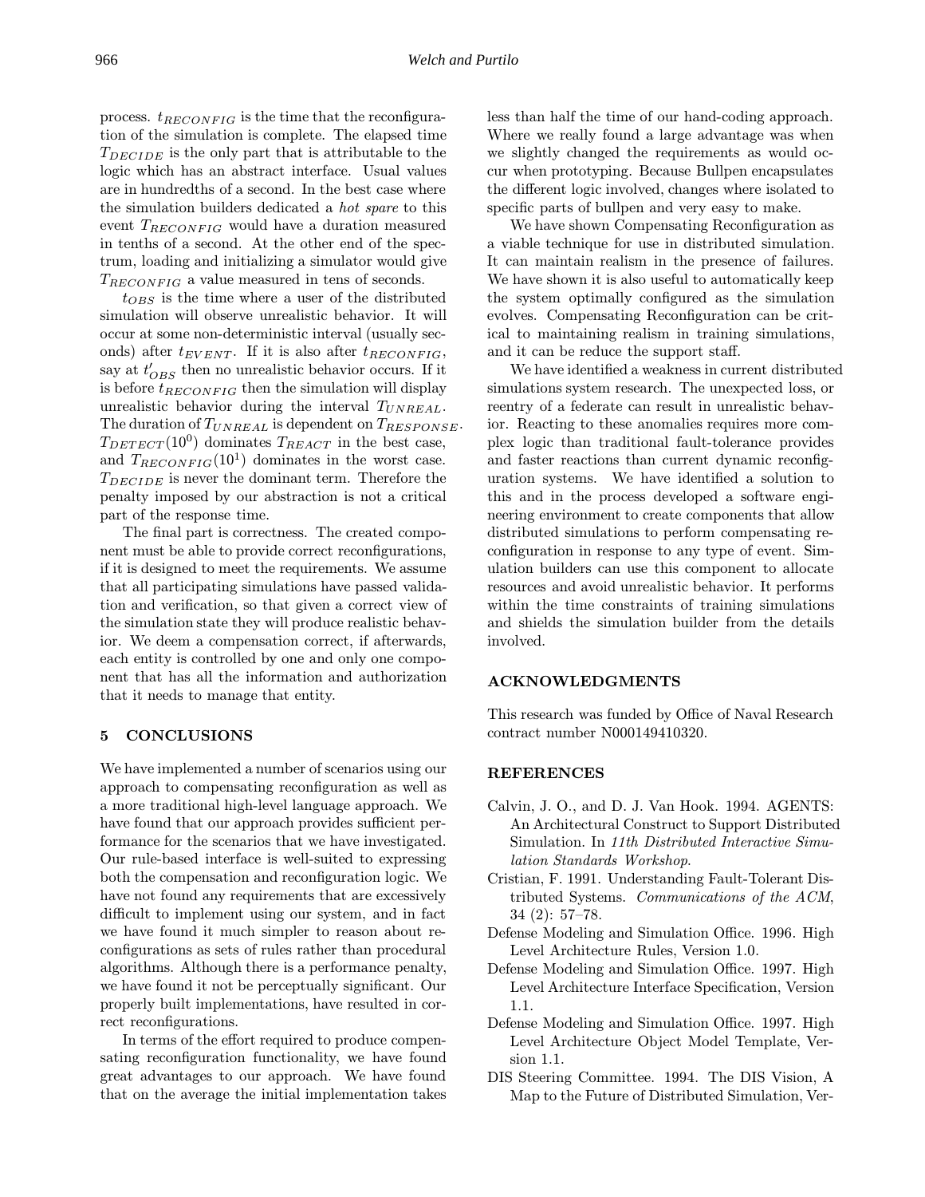process.  $t_{RECONFIG}$  is the time that the reconfiguration of the simulation is complete. The elapsed time  $T_{DECIDE}$  is the only part that is attributable to the logic which has an abstract interface. Usual values are in hundredths of a second. In the best case where the simulation builders dedicated a hot spare to this event  $T_{RECONFIG}$  would have a duration measured in tenths of a second. At the other end of the spectrum, loading and initializing a simulator would give  $T_{RECONFIG}$  a value measured in tens of seconds.

 $t_{OBS}$  is the time where a user of the distributed simulation will observe unrealistic behavior. It will occur at some non-deterministic interval (usually seconds) after  $t_{EVENT}$ . If it is also after  $t_{RECONFIG}$ , say at  $t'_{OBS}$  then no unrealistic behavior occurs. If it is before  $t_{RECONFIG}$  then the simulation will display unrealistic behavior during the interval  $T_{UNREAL}$ . The duration of  $T_{UNREAL}$  is dependent on  $T_{RESPONSE}$ .  $T_{DETECT} (10^0)$  dominates  $T_{REACT}$  in the best case, and  $T_{RECONFIG}(10^1)$  dominates in the worst case.  $T_{DECIDE}$  is never the dominant term. Therefore the penalty imposed by our abstraction is not a critical part of the response time.

The final part is correctness. The created component must be able to provide correct reconfigurations, if it is designed to meet the requirements. We assume that all participating simulations have passed validation and verification, so that given a correct view of the simulation state they will produce realistic behavior. We deem a compensation correct, if afterwards, each entity is controlled by one and only one component that has all the information and authorization that it needs to manage that entity.

### 5 CONCLUSIONS

We have implemented a number of scenarios using our approach to compensating reconfiguration as well as a more traditional high-level language approach. We have found that our approach provides sufficient performance for the scenarios that we have investigated. Our rule-based interface is well-suited to expressing both the compensation and reconfiguration logic. We have not found any requirements that are excessively difficult to implement using our system, and in fact we have found it much simpler to reason about reconfigurations as sets of rules rather than procedural algorithms. Although there is a performance penalty, we have found it not be perceptually significant. Our properly built implementations, have resulted in correct reconfigurations.

In terms of the effort required to produce compensating reconfiguration functionality, we have found great advantages to our approach. We have found that on the average the initial implementation takes less than half the time of our hand-coding approach. Where we really found a large advantage was when we slightly changed the requirements as would occur when prototyping. Because Bullpen encapsulates the different logic involved, changes where isolated to specific parts of bullpen and very easy to make.

We have shown Compensating Reconfiguration as a viable technique for use in distributed simulation. It can maintain realism in the presence of failures. We have shown it is also useful to automatically keep the system optimally configured as the simulation evolves. Compensating Reconfiguration can be critical to maintaining realism in training simulations, and it can be reduce the support staff.

We have identified a weakness in current distributed simulations system research. The unexpected loss, or reentry of a federate can result in unrealistic behavior. Reacting to these anomalies requires more complex logic than traditional fault-tolerance provides and faster reactions than current dynamic reconfiguration systems. We have identified a solution to this and in the process developed a software engineering environment to create components that allow distributed simulations to perform compensating reconfiguration in response to any type of event. Simulation builders can use this component to allocate resources and avoid unrealistic behavior. It performs within the time constraints of training simulations and shields the simulation builder from the details involved.

### ACKNOWLEDGMENTS

This research was funded by Office of Naval Research contract number N000149410320.

### REFERENCES

- Calvin, J. O., and D. J. Van Hook. 1994. AGENTS: An Architectural Construct to Support Distributed Simulation. In 11th Distributed Interactive Simulation Standards Workshop.
- Cristian, F. 1991. Understanding Fault-Tolerant Distributed Systems. Communications of the ACM, 34 (2): 57–78.
- Defense Modeling and Simulation Office. 1996. High Level Architecture Rules, Version 1.0.
- Defense Modeling and Simulation Office. 1997. High Level Architecture Interface Specification, Version 1.1.
- Defense Modeling and Simulation Office. 1997. High Level Architecture Object Model Template, Version 1.1.
- DIS Steering Committee. 1994. The DIS Vision, A Map to the Future of Distributed Simulation, Ver-